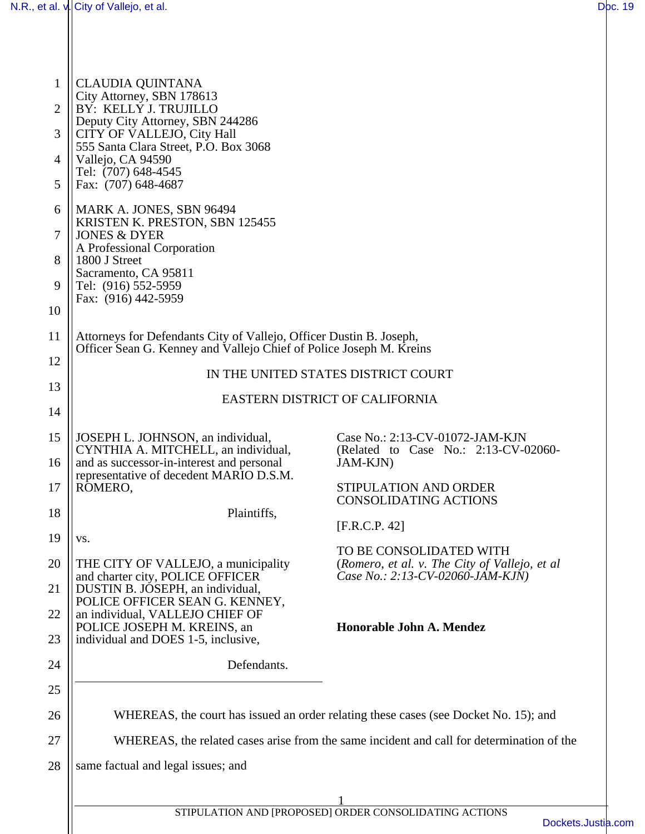| $\mathbf{1}$<br>$\overline{2}$ | <b>CLAUDIA QUINTANA</b><br>City Attorney, SBN 178613<br>BY: KELLY J. TRUJILLO<br>Deputy City Attorney, SBN 244286                          |                                                                                           |  |
|--------------------------------|--------------------------------------------------------------------------------------------------------------------------------------------|-------------------------------------------------------------------------------------------|--|
| 3                              | CITY OF VALLEJO, City Hall<br>555 Santa Clara Street, P.O. Box 3068                                                                        |                                                                                           |  |
| $\overline{4}$                 | Vallejo, CA 94590<br>Tel: (707) 648-4545                                                                                                   |                                                                                           |  |
| 5                              | Fax: (707) 648-4687                                                                                                                        |                                                                                           |  |
| 6                              | MARK A. JONES, SBN 96494<br>KRISTEN K. PRESTON, SBN 125455                                                                                 |                                                                                           |  |
| $7\phantom{.0}$                | <b>JONES &amp; DYER</b><br>A Professional Corporation                                                                                      |                                                                                           |  |
| 8                              | 1800 J Street<br>Sacramento, CA 95811                                                                                                      |                                                                                           |  |
| 9                              | Tel: (916) 552-5959<br>Fax: (916) 442-5959                                                                                                 |                                                                                           |  |
| 10                             |                                                                                                                                            |                                                                                           |  |
| 11                             | Attorneys for Defendants City of Vallejo, Officer Dustin B. Joseph,<br>Officer Sean G. Kenney and Vallejo Chief of Police Joseph M. Kreins |                                                                                           |  |
| 12                             | IN THE UNITED STATES DISTRICT COURT                                                                                                        |                                                                                           |  |
| 13                             | EASTERN DISTRICT OF CALIFORNIA                                                                                                             |                                                                                           |  |
| 14                             |                                                                                                                                            |                                                                                           |  |
| 15<br>16                       | JOSEPH L. JOHNSON, an individual,<br>CYNTHIA A. MITCHELL, an individual,<br>and as successor-in-interest and personal                      | Case No.: 2:13-CV-01072-JAM-KJN<br>(Related to Case No.: 2:13-CV-02060-<br>JAM-KJN)       |  |
| 17                             | representative of decedent MARIO D.S.M.<br>ROMERO,                                                                                         | STIPULATION AND ORDER                                                                     |  |
| 18                             | Plaintiffs,                                                                                                                                | <b>CONSOLIDATING ACTIONS</b>                                                              |  |
| 19                             | VS.                                                                                                                                        | [ <b>F.R.C.P. 42</b> ]                                                                    |  |
| 20                             | THE CITY OF VALLEJO, a municipality                                                                                                        | TO BE CONSOLIDATED WITH<br>(Romero, et al. v. The City of Vallejo, et al                  |  |
| 21                             | and charter city, POLICE OFFICER<br>DUSTIN B. JOSEPH, an individual,                                                                       | Case No.: 2:13-CV-02060-JAM-KJN)                                                          |  |
| 22                             | POLICE OFFICER SEAN G. KENNEY,<br>an individual, VALLEJO CHIEF OF                                                                          |                                                                                           |  |
| 23                             | POLICE JOSEPH M. KREINS, an<br>individual and DOES 1-5, inclusive,                                                                         | Honorable John A. Mendez                                                                  |  |
| 24                             | Defendants.                                                                                                                                |                                                                                           |  |
| 25                             |                                                                                                                                            |                                                                                           |  |
| 26                             |                                                                                                                                            | WHEREAS, the court has issued an order relating these cases (see Docket No. 15); and      |  |
| 27                             |                                                                                                                                            | WHEREAS, the related cases arise from the same incident and call for determination of the |  |
| 28                             | same factual and legal issues; and                                                                                                         |                                                                                           |  |
|                                |                                                                                                                                            |                                                                                           |  |
|                                |                                                                                                                                            | STIPULATION AND [PROPOSED] ORDER CONSOLIDATING ACTIONS                                    |  |
|                                |                                                                                                                                            | Dockets.J                                                                                 |  |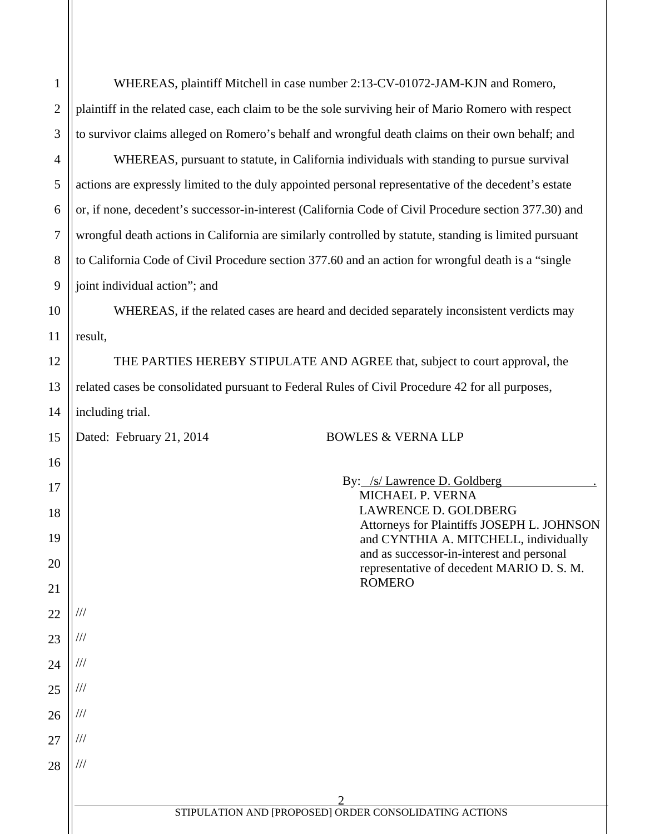| $\mathbf{1}$   | WHEREAS, plaintiff Mitchell in case number 2:13-CV-01072-JAM-KJN and Romero,                           |  |  |
|----------------|--------------------------------------------------------------------------------------------------------|--|--|
| $\overline{2}$ | plaintiff in the related case, each claim to be the sole surviving heir of Mario Romero with respect   |  |  |
| 3              | to survivor claims alleged on Romero's behalf and wrongful death claims on their own behalf; and       |  |  |
| 4              | WHEREAS, pursuant to statute, in California individuals with standing to pursue survival               |  |  |
| 5              | actions are expressly limited to the duly appointed personal representative of the decedent's estate   |  |  |
| 6              | or, if none, decedent's successor-in-interest (California Code of Civil Procedure section 377.30) and  |  |  |
| 7              | wrongful death actions in California are similarly controlled by statute, standing is limited pursuant |  |  |
| 8              | to California Code of Civil Procedure section 377.60 and an action for wrongful death is a "single     |  |  |
| 9              | joint individual action"; and                                                                          |  |  |
| 10             | WHEREAS, if the related cases are heard and decided separately inconsistent verdicts may               |  |  |
| 11             | result,                                                                                                |  |  |
| 12             | THE PARTIES HEREBY STIPULATE AND AGREE that, subject to court approval, the                            |  |  |
| 13             | related cases be consolidated pursuant to Federal Rules of Civil Procedure 42 for all purposes,        |  |  |
| 14             | including trial.                                                                                       |  |  |
| 15             | Dated: February 21, 2014<br><b>BOWLES &amp; VERNA LLP</b>                                              |  |  |
| 16             |                                                                                                        |  |  |
| 17             | By: /s/ Lawrence D. Goldberg<br><b>MICHAEL P. VERNA</b>                                                |  |  |
| 18             | <b>LAWRENCE D. GOLDBERG</b><br>Attorneys for Plaintiffs JOSEPH L. JOHNSON                              |  |  |
| 19             | and CYNTHIA A. MITCHELL, individually<br>and as successor-in-interest and personal                     |  |  |
| 20             | representative of decedent MARIO D. S. M.                                                              |  |  |
| 21             | <b>ROMERO</b>                                                                                          |  |  |
| 22             |                                                                                                        |  |  |
| 23             |                                                                                                        |  |  |
| 24             |                                                                                                        |  |  |
| 25             |                                                                                                        |  |  |
| 26             |                                                                                                        |  |  |
| 27             |                                                                                                        |  |  |
| 28             |                                                                                                        |  |  |
|                |                                                                                                        |  |  |
|                | STIPULATION AND [PROPOSED] ORDER CONSOLIDATING ACTIONS                                                 |  |  |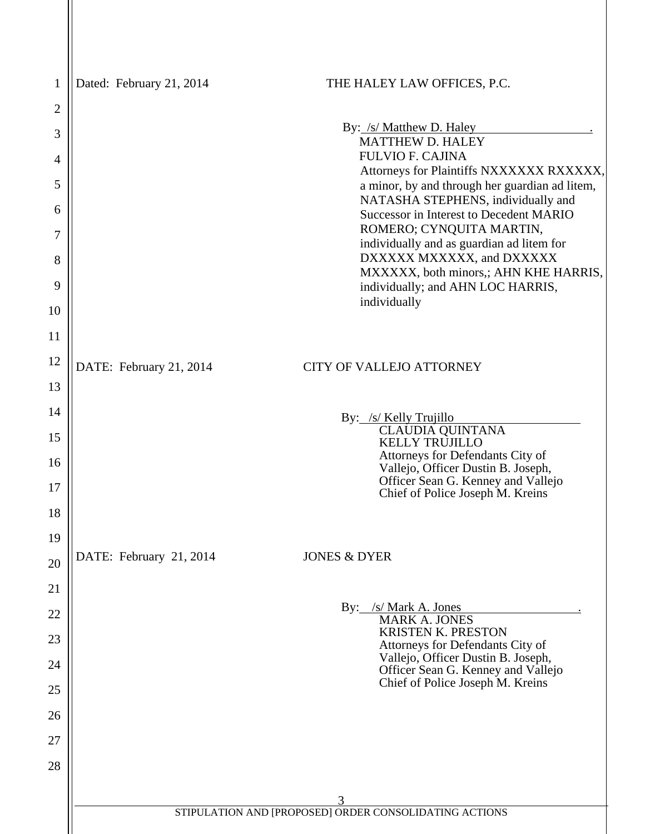| 1        | Dated: February 21, 2014                                    | THE HALEY LAW OFFICES, P.C.                                                                             |
|----------|-------------------------------------------------------------|---------------------------------------------------------------------------------------------------------|
| 2        |                                                             |                                                                                                         |
| 3        |                                                             | By: /s/ Matthew D. Haley<br><b>MATTHEW D. HALEY</b>                                                     |
| 4        |                                                             | <b>FULVIO F. CAJINA</b><br>Attorneys for Plaintiffs NXXXXXX RXXXXX,                                     |
| 5        |                                                             | a minor, by and through her guardian ad litem,                                                          |
| 6        |                                                             | NATASHA STEPHENS, individually and<br><b>Successor in Interest to Decedent MARIO</b>                    |
| 7        |                                                             | ROMERO; CYNQUITA MARTIN,<br>individually and as guardian ad litem for                                   |
| 8<br>9   |                                                             | DXXXXX MXXXXX, and DXXXXX<br>MXXXXX, both minors,; AHN KHE HARRIS,<br>individually; and AHN LOC HARRIS, |
| 10       |                                                             | individually                                                                                            |
| 11       |                                                             |                                                                                                         |
| 12       | DATE: February 21, 2014                                     | <b>CITY OF VALLEJO ATTORNEY</b>                                                                         |
| 13       |                                                             |                                                                                                         |
| 14       |                                                             | By: /s/ Kelly Trujillo                                                                                  |
| 15       |                                                             | <b>CLAUDIA QUINTANA</b>                                                                                 |
| 16       |                                                             | <b>KELLY TRUJILLO</b><br>Attorneys for Defendants City of                                               |
|          |                                                             | Vallejo, Officer Dustin B. Joseph,<br>Officer Sean G. Kenney and Vallejo                                |
| 17<br>18 |                                                             | Chief of Police Joseph M. Kreins                                                                        |
| 19       |                                                             |                                                                                                         |
| 20       | DATE: February 21, 2014<br><b>JONES &amp; DYER</b>          |                                                                                                         |
| 21       |                                                             |                                                                                                         |
| 22       |                                                             | By: /s/ Mark A. Jones<br>MARK A. JONES                                                                  |
| 23       |                                                             | <b>KRISTEN K. PRESTON</b>                                                                               |
| 24       |                                                             | Attorneys for Defendants City of<br>Vallejo, Officer Dustin B. Joseph,                                  |
| 25       |                                                             | Officer Sean G. Kenney and Vallejo<br>Chief of Police Joseph M. Kreins                                  |
| 26       |                                                             |                                                                                                         |
| 27       |                                                             |                                                                                                         |
| 28       |                                                             |                                                                                                         |
|          |                                                             |                                                                                                         |
|          | 3<br>STIPULATION AND [PROPOSED] ORDER CONSOLIDATING ACTIONS |                                                                                                         |
|          |                                                             |                                                                                                         |